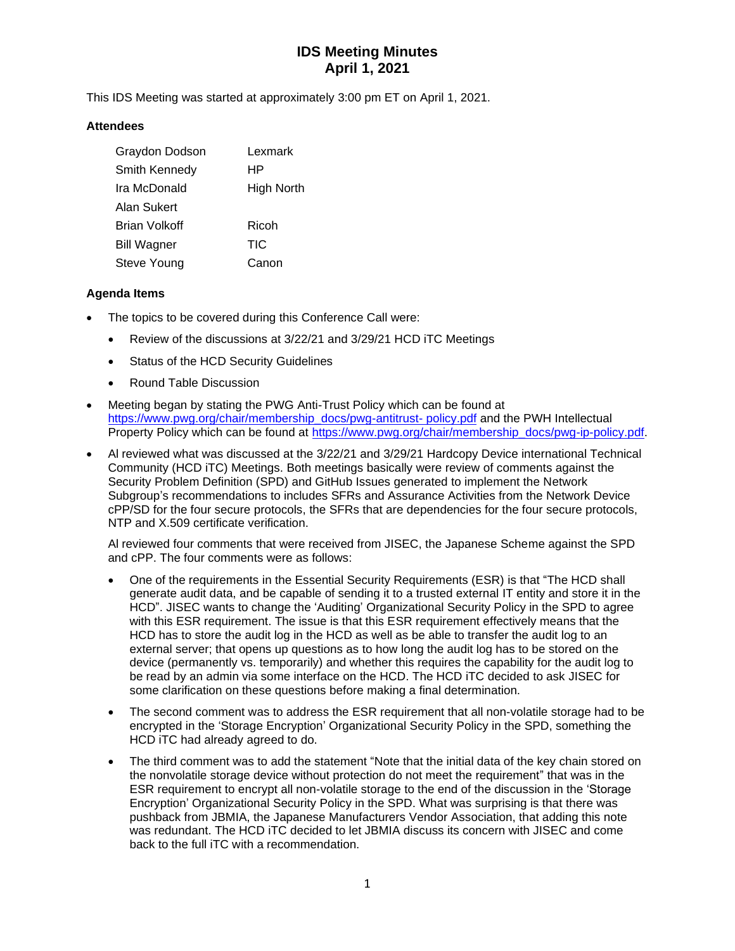# **IDS Meeting Minutes April 1, 2021**

This IDS Meeting was started at approximately 3:00 pm ET on April 1, 2021.

#### **Attendees**

| Graydon Dodson       | Lexmark    |
|----------------------|------------|
| <b>Smith Kennedy</b> | HР         |
| Ira McDonald         | High North |
| Alan Sukert          |            |
| Brian Volkoff        | Ricoh      |
| <b>Bill Wagner</b>   | TIC        |
| Steve Young          | Canon      |

#### **Agenda Items**

- The topics to be covered during this Conference Call were:
	- Review of the discussions at 3/22/21 and 3/29/21 HCD iTC Meetings
	- Status of the HCD Security Guidelines
	- Round Table Discussion
- Meeting began by stating the PWG Anti-Trust Policy which can be found at [https://www.pwg.org/chair/membership\\_docs/pwg-antitrust-](https://www.pwg.org/chair/membership_docs/pwg-antitrust-%20policy.pdf) policy.pdf and the PWH Intellectual Property Policy which can be found at [https://www.pwg.org/chair/membership\\_docs/pwg-ip-policy.pdf.](https://www.pwg.org/chair/membership_docs/pwg-ip-policy.pdf)
- Al reviewed what was discussed at the 3/22/21 and 3/29/21 Hardcopy Device international Technical Community (HCD iTC) Meetings. Both meetings basically were review of comments against the Security Problem Definition (SPD) and GitHub Issues generated to implement the Network Subgroup's recommendations to includes SFRs and Assurance Activities from the Network Device cPP/SD for the four secure protocols, the SFRs that are dependencies for the four secure protocols, NTP and X.509 certificate verification.

Al reviewed four comments that were received from JISEC, the Japanese Scheme against the SPD and cPP. The four comments were as follows:

- One of the requirements in the Essential Security Requirements (ESR) is that "The HCD shall generate audit data, and be capable of sending it to a trusted external IT entity and store it in the HCD". JISEC wants to change the 'Auditing' Organizational Security Policy in the SPD to agree with this ESR requirement. The issue is that this ESR requirement effectively means that the HCD has to store the audit log in the HCD as well as be able to transfer the audit log to an external server; that opens up questions as to how long the audit log has to be stored on the device (permanently vs. temporarily) and whether this requires the capability for the audit log to be read by an admin via some interface on the HCD. The HCD iTC decided to ask JISEC for some clarification on these questions before making a final determination.
- The second comment was to address the ESR requirement that all non-volatile storage had to be encrypted in the 'Storage Encryption' Organizational Security Policy in the SPD, something the HCD iTC had already agreed to do.
- The third comment was to add the statement "Note that the initial data of the key chain stored on the nonvolatile storage device without protection do not meet the requirement" that was in the ESR requirement to encrypt all non-volatile storage to the end of the discussion in the 'Storage Encryption' Organizational Security Policy in the SPD. What was surprising is that there was pushback from JBMIA, the Japanese Manufacturers Vendor Association, that adding this note was redundant. The HCD iTC decided to let JBMIA discuss its concern with JISEC and come back to the full iTC with a recommendation.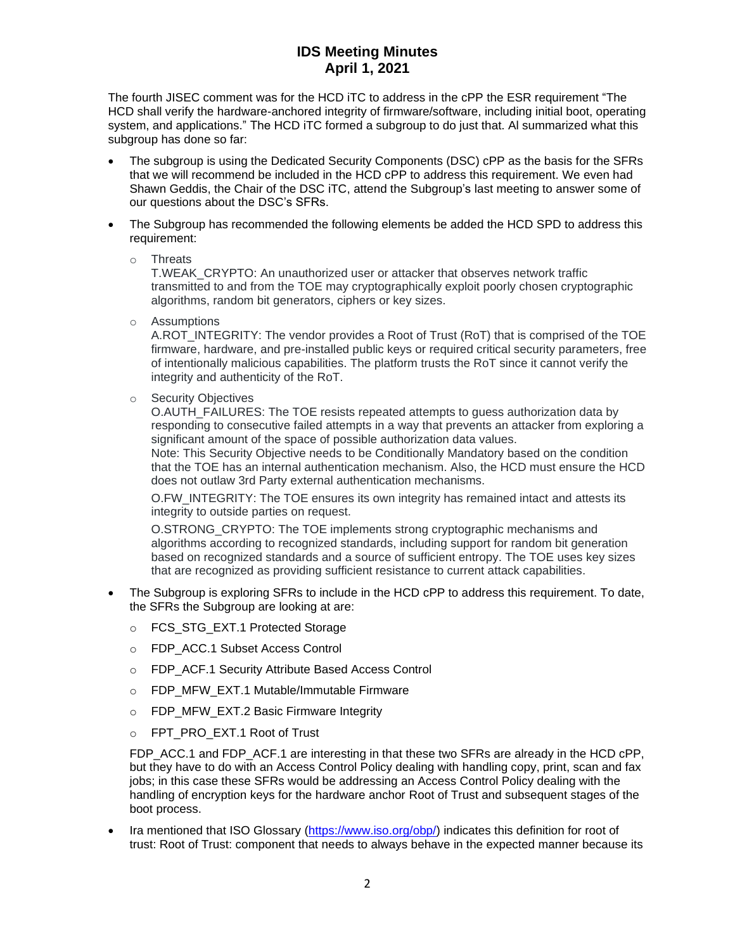### **IDS Meeting Minutes April 1, 2021**

The fourth JISEC comment was for the HCD iTC to address in the cPP the ESR requirement "The HCD shall verify the hardware-anchored integrity of firmware/software, including initial boot, operating system, and applications." The HCD iTC formed a subgroup to do just that. Al summarized what this subgroup has done so far:

- The subgroup is using the Dedicated Security Components (DSC) cPP as the basis for the SFRs that we will recommend be included in the HCD cPP to address this requirement. We even had Shawn Geddis, the Chair of the DSC iTC, attend the Subgroup's last meeting to answer some of our questions about the DSC's SFRs.
- The Subgroup has recommended the following elements be added the HCD SPD to address this requirement:
	- o Threats

T.WEAK\_CRYPTO: An unauthorized user or attacker that observes network traffic transmitted to and from the TOE may cryptographically exploit poorly chosen cryptographic algorithms, random bit generators, ciphers or key sizes.

o Assumptions

A.ROT\_INTEGRITY: The vendor provides a Root of Trust (RoT) that is comprised of the TOE firmware, hardware, and pre-installed public keys or required critical security parameters, free of intentionally malicious capabilities. The platform trusts the RoT since it cannot verify the integrity and authenticity of the RoT.

o Security Objectives

O.AUTH\_FAILURES: The TOE resists repeated attempts to guess authorization data by responding to consecutive failed attempts in a way that prevents an attacker from exploring a significant amount of the space of possible authorization data values.

Note: This Security Objective needs to be Conditionally Mandatory based on the condition that the TOE has an internal authentication mechanism. Also, the HCD must ensure the HCD does not outlaw 3rd Party external authentication mechanisms.

O.FW\_INTEGRITY: The TOE ensures its own integrity has remained intact and attests its integrity to outside parties on request.

O.STRONG\_CRYPTO: The TOE implements strong cryptographic mechanisms and algorithms according to recognized standards, including support for random bit generation based on recognized standards and a source of sufficient entropy. The TOE uses key sizes that are recognized as providing sufficient resistance to current attack capabilities.

- The Subgroup is exploring SFRs to include in the HCD cPP to address this requirement. To date, the SFRs the Subgroup are looking at are:
	- o FCS STG EXT.1 Protected Storage
	- o FDP\_ACC.1 Subset Access Control
	- o FDP\_ACF.1 Security Attribute Based Access Control
	- o FDP MFW EXT.1 Mutable/Immutable Firmware
	- o FDP\_MFW\_EXT.2 Basic Firmware Integrity
	- o FPT\_PRO\_EXT.1 Root of Trust

FDP\_ACC.1 and FDP\_ACF.1 are interesting in that these two SFRs are already in the HCD cPP, but they have to do with an Access Control Policy dealing with handling copy, print, scan and fax jobs; in this case these SFRs would be addressing an Access Control Policy dealing with the handling of encryption keys for the hardware anchor Root of Trust and subsequent stages of the boot process.

Ira mentioned that ISO Glossary [\(https://www.iso.org/obp/\)](https://www.iso.org/obp/) indicates this definition for root of trust: Root of Trust: component that needs to always behave in the expected manner because its